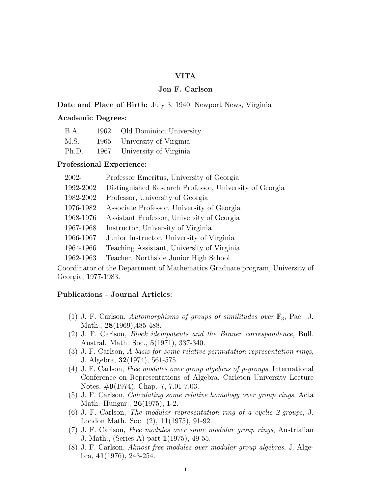# VITA

# Jon F. Carlson

### Date and Place of Birth: July 3, 1940, Newport News, Virginia

#### Academic Degrees:

| B.A.  | 1962 Old Dominion University |
|-------|------------------------------|
| M.S.  | 1965 University of Virginia  |
| Ph.D. | 1967 University of Virginia  |

### Professional Experience:

| 2002-     | Professor Emeritus, University of Georgia               |
|-----------|---------------------------------------------------------|
| 1992-2002 | Distinguished Research Professor, University of Georgia |
| 1982-2002 | Professor, University of Georgia                        |
| 1976-1982 | Associate Professor, University of Georgia              |
| 1968-1976 | Assistant Professor, University of Georgia              |
| 1967-1968 | Instructor, University of Virginia                      |
| 1966-1967 | Junior Instructor, University of Virginia               |
| 1964-1966 | Teaching Assistant, University of Virginia              |
| 1962-1963 | Teacher, Northside Junior High School                   |
|           |                                                         |

Coordinator of the Department of Mathematics Graduate program, University of Georgia, 1977-1983.

# Publications - Journal Articles:

- (1) J. F. Carlson, Automorphisms of groups of similitudes over  $\mathbb{F}_3$ , Pac. J. Math., 28(1969), 485-488.
- (2) J. F. Carlson, Block idempotents and the Brauer correspondence, Bull. Austral. Math. Soc., 5(1971), 337-340.
- (3) J. F. Carlson, A basis for some relative permutation representation rings, J. Algebra, 32(1974), 561-575.
- (4) J. F. Carlson, Free modules over group algebras of p-groups, International Conference on Representations of Algebra, Carleton University Lecture Notes, #9(1974), Chap. 7, 7.01-7.03.
- (5) J. F. Carlson, Calculating some relative homology over group rings, Acta Math. Hungar., 26(1975), 1-2.
- (6) J. F. Carlson, The modular representation ring of a cyclic 2-groups, J. London Math. Soc. (2), 11(1975), 91-92.
- (7) J. F. Carlson, Free modules over some modular group rings, Austrialian J. Math., (Series A) part 1(1975), 49-55.
- (8) J. F. Carlson, Almost free modules over modular group algebras, J. Algebra, 41(1976), 243-254.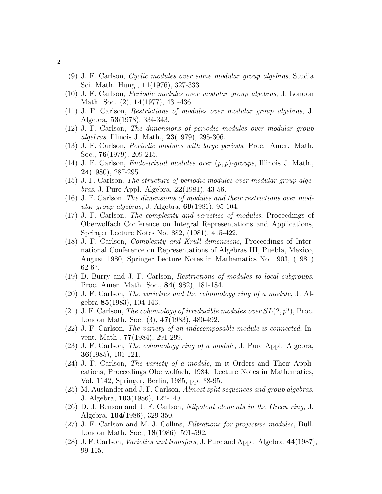- (9) J. F. Carlson, Cyclic modules over some modular group algebras, Studia Sci. Math. Hung., 11(1976), 327-333.
- (10) J. F. Carlson, Periodic modules over modular group algebras, J. London Math. Soc. (2), **14**(1977), 431-436.
- (11) J. F. Carlson, Restrictions of modules over modular group algebras, J. Algebra, 53(1978), 334-343.
- (12) J. F. Carlson, The dimensions of periodic modules over modular group algebras, Illinois J. Math., 23(1979), 295-306.
- (13) J. F. Carlson, Periodic modules with large periods, Proc. Amer. Math. Soc., 76(1979), 209-215.
- (14) J. F. Carlson, *Endo-trivial modules over*  $(p, p)$ -groups, Illinois J. Math., 24(1980), 287-295.
- (15) J. F. Carlson, The structure of periodic modules over modular group algebras, J. Pure Appl. Algebra, 22(1981), 43-56.
- (16) J. F. Carlson, The dimensions of modules and their restrictions over modular group algebras, J. Algebra,  $69(1981)$ , 95-104.
- (17) J. F. Carlson, The complexity and varieties of modules, Proceedings of Oberwolfach Conference on Integral Representations and Applications, Springer Lecture Notes No. 882, (1981), 415-422.
- (18) J. F. Carlson, Complexity and Krull dimensions, Proceedings of International Conference on Representations of Algebras III, Puebla, Mexico, August 1980, Springer Lecture Notes in Mathematics No. 903, (1981) 62-67.
- (19) D. Burry and J. F. Carlson, Restrictions of modules to local subgroups, Proc. Amer. Math. Soc., 84(1982), 181-184.
- (20) J. F. Carlson, The varieties and the cohomology ring of a module, J. Algebra 85(1983), 104-143.
- (21) J. F. Carlson, The cohomology of irreducible modules over  $SL(2, p^n)$ , Proc. London Math. Soc. (3), 47(1983), 480-492.
- (22) J. F. Carlson, The variety of an indecomposable module is connected, Invent. Math., 77(1984), 291-299.
- (23) J. F. Carlson, The cohomology ring of a module, J. Pure Appl. Algebra, 36(1985), 105-121.
- (24) J. F. Carlson, The variety of a module, in it Orders and Their Applications, Proceedings Oberwolfach, 1984. Lecture Notes in Mathematics, Vol. 1142, Springer, Berlin, 1985, pp. 88-95.
- $(25)$  M. Auslander and J. F. Carlson, *Almost split sequences and group algebras*, J. Algebra, 103(1986), 122-140.
- $(26)$  D. J. Benson and J. F. Carlson, *Nilpotent elements in the Green ring*, J. Algebra, 104(1986), 329-350.
- (27) J. F. Carlson and M. J. Collins, Filtrations for projective modules, Bull. London Math. Soc., 18(1986), 591-592.
- (28) J. F. Carlson, Varieties and transfers, J. Pure and Appl. Algebra, 44(1987), 99-105.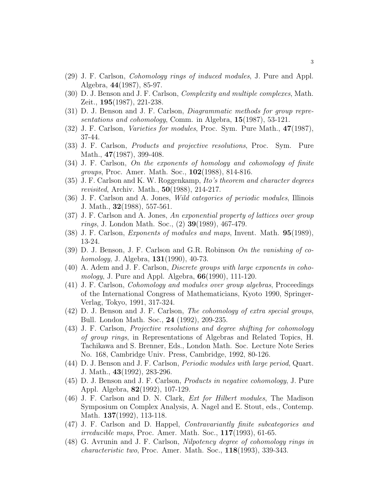- (29) J. F. Carlson, Cohomology rings of induced modules, J. Pure and Appl. Algebra, 44(1987), 85-97.
- (30) D. J. Benson and J. F. Carlson, Complexity and multiple complexes, Math. Zeit., 195(1987), 221-238.
- (31) D. J. Benson and J. F. Carlson, Diagrammatic methods for group representations and cohomology, Comm. in Algebra, 15(1987), 53-121.
- (32) J. F. Carlson, Varieties for modules, Proc. Sym. Pure Math., 47(1987), 37-44.
- (33) J. F. Carlson, Products and projective resolutions, Proc. Sym. Pure Math., **47**(1987), 399-408.
- (34) J. F. Carlson, On the exponents of homology and cohomology of finite groups, Proc. Amer. Math. Soc., 102(1988), 814-816.
- (35) J. F. Carlson and K. W. Roggenkamp, Ito's theorem and character degrees revisited, Archiv. Math., 50(1988), 214-217.
- (36) J. F. Carlson and A. Jones, Wild categories of periodic modules, Illinois J. Math., 32(1988), 557-561.
- (37) J. F. Carlson and A. Jones, An exponential property of lattices over group *rings*, J. London Math. Soc.,  $(2)$  **39**(1989), 467-479.
- (38) J. F. Carlson, Exponents of modules and maps, Invent. Math. 95(1989), 13-24.
- (39) D. J. Benson, J. F. Carlson and G.R. Robinson On the vanishing of co*homology*, J. Algebra,  $131(1990)$ , 40-73.
- (40) A. Adem and J. F. Carlson, Discrete groups with large exponents in cohomology, J. Pure and Appl. Algebra,  $66(1990)$ , 111-120.
- (41) J. F. Carlson, Cohomology and modules over group algebras, Proceedings of the International Congress of Mathematicians, Kyoto 1990, Springer-Verlag, Tokyo, 1991, 317-324.
- (42) D. J. Benson and J. F. Carlson, The cohomology of extra special groups, Bull. London Math. Soc., 24 (1992), 209-235.
- (43) J. F. Carlson, Projective resolutions and degree shifting for cohomology of group rings, in Representations of Algebras and Related Topics, H. Tachikawa and S. Brenner, Eds., London Math. Soc. Lecture Note Series No. 168, Cambridge Univ. Press, Cambridge, 1992, 80-126.
- (44) D. J. Benson and J. F. Carlson, Periodic modules with large period, Quart. J. Math., 43(1992), 283-296.
- (45) D. J. Benson and J. F. Carlson, Products in negative cohomology, J. Pure Appl. Algebra, 82(1992), 107-129.
- (46) J. F. Carlson and D. N. Clark, Ext for Hilbert modules, The Madison Symposium on Complex Analysis, A. Nagel and E. Stout, eds., Contemp. Math. **137**(1992), 113-118.
- (47) J. F. Carlson and D. Happel, Contravariantly finite subcategories and irreducible maps, Proc. Amer. Math. Soc., 117(1993), 61-65.
- (48) G. Avrunin and J. F. Carlson, Nilpotency degree of cohomology rings in *characteristic two*, Proc. Amer. Math. Soc.,  $118(1993)$ ,  $339-343$ .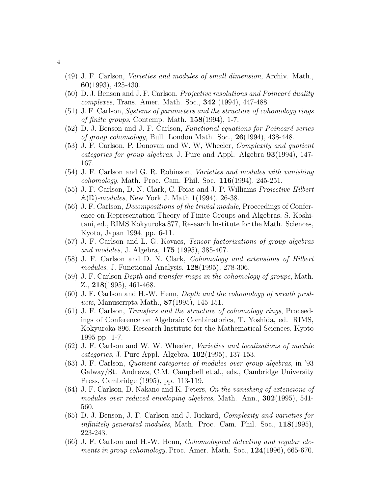- (49) J. F. Carlson, Varieties and modules of small dimension, Archiv. Math., 60(1993), 425-430.
- $(50)$  D. J. Benson and J. F. Carlson, *Projective resolutions and Poincaré duality* complexes, Trans. Amer. Math. Soc., 342 (1994), 447-488.
- (51) J. F. Carlson, Systems of parameters and the structure of cohomology rings of finite groups, Contemp. Math.  $158(1994)$ , 1-7.
- $(52)$  D. J. Benson and J. F. Carlson, *Functional equations for Poincaré series* of group cohomology, Bull. London Math. Soc., 26(1994), 438-448.
- (53) J. F. Carlson, P. Donovan and W. W, Wheeler, Complexity and quotient categories for group algebras, J. Pure and Appl. Algebra 93(1994), 147- 167.
- (54) J. F. Carlson and G. R. Robinson, Varieties and modules with vanishing cohomology, Math. Proc. Cam. Phil. Soc. 116(1994), 245-251.
- (55) J. F. Carlson, D. N. Clark, C. Foias and J. P. Williams Projective Hilbert  $\mathbb{A}(\mathbb{D})$ -modules, New York J. Math  $1(1994)$ , 26-38.
- (56) J. F. Carlson, Decompositions of the trivial module, Proceedings of Conference on Representation Theory of Finite Groups and Algebras, S. Koshitani, ed., RIMS Kokyuroka 877, Research Institute for the Math. Sciences, Kyoto, Japan 1994, pp. 6-11.
- (57) J. F. Carlson and L. G. Kovacs, Tensor factorizations of group algebras and modules, J. Algebra, 175 (1995), 385-407.
- (58) J. F. Carlson and D. N. Clark, Cohomology and extensions of Hilbert modules, J. Functional Analysis, 128(1995), 278-306.
- (59) J. F. Carlson Depth and transfer maps in the cohomology of groups, Math. Z., 218(1995), 461-468.
- (60) J. F. Carlson and H.-W. Henn, Depth and the cohomology of wreath products, Manuscripta Math., 87(1995), 145-151.
- (61) J. F. Carlson, Transfers and the structure of cohomology rings, Proceedings of Conference on Algebraic Combinatorics, T. Yoshida, ed. RIMS, Kokyuroka 896, Research Institute for the Mathematical Sciences, Kyoto 1995 pp. 1-7.
- (62) J. F. Carlson and W. W. Wheeler, Varieties and localizations of module categories, J. Pure Appl. Algebra,  $102(1995)$ , 137-153.
- (63) J. F. Carlson, Quotient categories of modules over group algebras, in '93 Galway/St. Andrews, C.M. Campbell et.al., eds., Cambridge University Press, Cambridge (1995), pp. 113-119.
- $(64)$  J. F. Carlson, D. Nakano and K. Peters, On the vanishing of extensions of modules over reduced enveloping algebras, Math. Ann., 302(1995), 541- 560.
- (65) D. J. Benson, J. F. Carlson and J. Rickard, Complexity and varieties for *infinitely generated modules*, Math. Proc. Cam. Phil. Soc.,  $118(1995)$ , 223-243.
- (66) J. F. Carlson and H.-W. Henn, Cohomological detecting and regular elements in group cohomology, Proc. Amer. Math. Soc.,  $124(1996)$ , 665-670.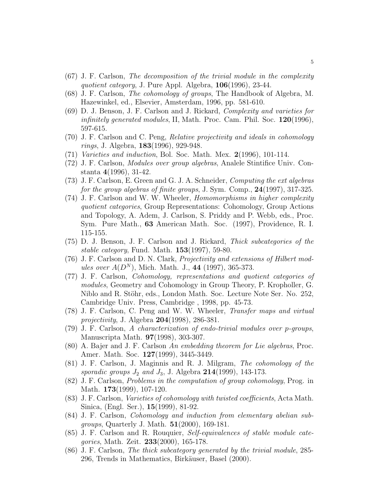- (67) J. F. Carlson, The decomposition of the trivial module in the complexity quotient category, J. Pure Appl. Algebra,  $106(1996)$ , 23-44.
- (68) J. F. Carlson, The cohomology of groups, The Handbook of Algebra, M. Hazewinkel, ed., Elsevier, Amsterdam, 1996, pp. 581-610.
- (69) D. J. Benson, J. F. Carlson and J. Rickard, Complexity and varieties for *infinitely generated modules*, II, Math. Proc. Cam. Phil. Soc.  $120(1996)$ , 597-615.
- (70) J. F. Carlson and C. Peng, Relative projectivity and ideals in cohomology rings, J. Algebra, 183(1996), 929-948.
- $(71)$  Varieties and induction, Bol. Soc. Math. Mex.  $2(1996)$ , 101-114.
- (72) J. F. Carlson, Modules over group algebras, Analele Stintifice Univ. Constanta 4(1996), 31-42.
- $(73)$  J. F. Carlson, E. Green and G. J. A. Schneider, *Computing the ext algebras* for the group algebras of finite groups, J. Sym. Comp.,  $24(1997)$ , 317-325.
- (74) J. F. Carlson and W. W. Wheeler, Homomorphisms in higher complexity quotient categories, Group Representations: Cohomology, Group Actions and Topology, A. Adem, J. Carlson, S. Priddy and P. Webb, eds., Proc. Sym. Pure Math., 63 American Math. Soc. (1997), Providence, R. I. 115-155.
- (75) D. J. Benson, J. F. Carlson and J. Rickard, Thick subcategories of the stable category, Fund. Math. 153(1997), 59-80.
- (76) J. F. Carlson and D. N. Clark, Projectivity and extensions of Hilbert modules over  $A(D^N)$ , Mich. Math. J., 44 (1997), 365-373.
- (77) J. F. Carlson, Cohomology, representations and quotient categories of modules, Geometry and Cohomology in Group Theory, P. Kropholler, G. Niblo and R. Stöhr, eds., London Math. Soc. Lecture Note Ser. No. 252, Cambridge Univ. Press, Cambridge , 1998, pp. 45-73.
- (78) J. F. Carlson, C. Peng and W. W. Wheeler, Transfer maps and virtual projectivity, J. Algebra 204(1998), 286-381.
- (79) J. F. Carlson, A characterization of endo-trivial modules over p-groups, Manuscripta Math. 97(1998), 303-307.
- (80) A. Bajer and J. F. Carlson An embedding theorem for Lie algebras, Proc. Amer. Math. Soc. 127(1999), 3445-3449.
- (81) J. F. Carlson, J. Maginnis and R. J. Milgram, The cohomology of the sporadic groups  $J_2$  and  $J_3$ , J. Algebra 214(1999), 143-173.
- (82) J. F. Carlson, Problems in the computation of group cohomology, Prog. in Math. **173**(1999), 107-120.
- (83) J. F. Carlson, Varieties of cohomology with twisted coefficients, Acta Math. Sinica, (Engl. Ser.), 15(1999), 81-92.
- (84) J. F. Carlson, Cohomology and induction from elementary abelian subgroups, Quarterly J. Math. 51(2000), 169-181.
- (85) J. F. Carlson and R. Rouquier, Self-equivalences of stable module categories, Math. Zeit. 233(2000), 165-178.
- (86) J. F. Carlson, The thick subcategory generated by the trivial module, 285- 296, Trends in Mathematics, Birkäuser, Basel (2000).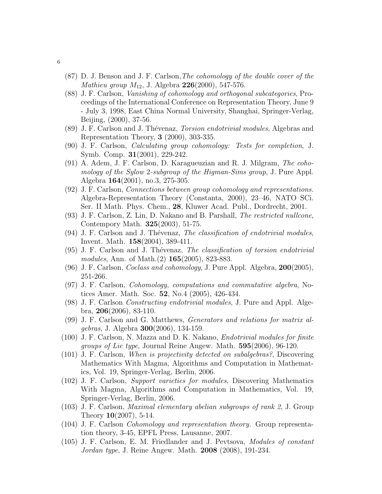- (87) D. J. Benson and J. F. Carlson,The cohomology of the double cover of the *Mathieu group*  $M_{12}$ , J. Algebra 226(2000), 547-576.
- (88) J. F. Carlson, Vanishing of cohomology and orthogonal subcategories, Proceedings of the International Conference on Representation Theory, June 9 - July 3, 1998, East China Normal University, Shanghai, Springer-Verlag, Beijing, (2000), 37-56.
- (89) J. F. Carlson and J. Thévenaz, *Torsion endotrivial modules*, Algebras and Representation Theory, 3 (2000), 303-335.
- (90) J. F. Carlson, Calculating group cohomology: Tests for completion, J. Symb. Comp. 31(2001), 229-242.
- (91) A. Adem, J. F. Carlson, D. Karagueuzian and R. J. Milgram, The cohomology of the Sylow 2-subgroup of the Higman-Sims group, J. Pure Appl. Algebra 164(2001), no.3, 275-305.
- (92) J. F. Carlson, Connections between group cohomology and representations. Algebra-Representation Theory (Constanta, 2000), 23–46, NATO SCi. Ser. II Math. Phys. Chem., 28, Kluwer Acad. Publ., Dordrecht, 2001.
- (93) J. F. Carlson, Z. Lin, D. Nakano and B. Parshall, The restricted nullcone, Contempory Math. 325(2003), 51-75.
- $(94)$  J. F. Carlson and J. Thévenaz, The classification of endotrivial modules, Invent. Math. 158(2004), 389-411.
- $(95)$  J. F. Carlson and J. Thévenaz, The classification of torsion endotrivial modules, Ann. of Math.(2) 165(2005), 823-883.
- $(96)$  J. F. Carlson, *Coclass and cohomology*, J. Pure Appl. Algebra,  $200(2005)$ , 251-266.
- (97) J. F. Carlson, Cohomology, computations and commutative algebra, Notices Amer. Math. Soc. 52, No.4 (2005), 426-434.
- (98) J. F. Carlson Constructing endotrivial modules, J. Pure and Appl. Algebra, 206(2006), 83-110.
- (99) J. F. Carlson and G. Matthews, Generators and relations for matrix algebras, J. Algebra 300(2006), 134-159.
- (100) J. F. Carlson, N. Mazza and D. K. Nakano, Endotrivial modules for finite groups of Lie type, Journal Reine Angew. Math. 595(2006), 96-120.
- (101) J. F. Carlson, When is projectivity detected on subalgebras?, Discovering Mathematics With Magma, Algorithms and Computation in Mathematics, Vol. 19, Springer-Verlag, Berlin, 2006.
- (102) J. F. Carlson, Support varieties for modules, Discovering Mathematics With Magma, Algorithms and Computation in Mathematics, Vol. 19, Springer-Verlag, Berlin, 2006.
- (103) J. F. Carlson, Maximal elementary abelian subgroups of rank 2, J. Group Theory 10(2007), 5-14.
- (104) J. F. Carlson Cohomology and representation theory. Group representation theory, 3-45, EPFL Press, Lausanne, 2007.
- (105) J. F. Carlson, E. M. Friedlander and J. Pevtsova, Modules of constant Jordan type, J. Reine Angew. Math. 2008 (2008), 191-234.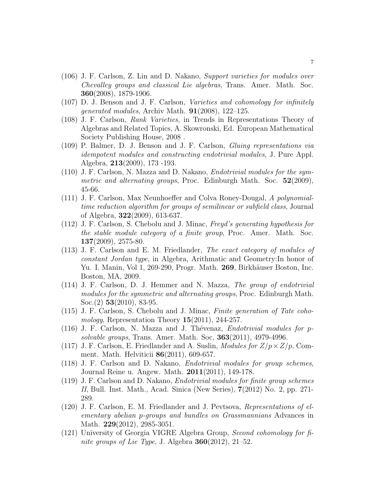- (106) J. F. Carlson, Z. Lin and D. Nakano, Support varieties for modules over Chevalley groups and classical Lie algebras, Trans. Amer. Math. Soc. 360(2008), 1879-1906.
- (107) D. J. Benson and J. F. Carlson, Varieties and cohomology for infinitely *generated modules*, Archiv Math.  $91(2008)$ , 122-125.
- (108) J. F. Carlson, Rank Varieties, in Trends in Representations Theory of Algebras and Related Topics, A. Skowronski, Ed. European Mathematical Society Publishing House, 2008 .
- (109) P. Balmer, D. J. Benson and J. F. Carlson, Gluing representations via idempotent modules and constructing endotrivial modules, J. Pure Appl. Algebra, 213(2009), 173 -193.
- (110) J. F. Carlson, N. Mazza and D. Nakano, Endotrivial modules for the sym*metric and alternating groups*, Proc. Edinburgh Math. Soc.  $52(2009)$ , 45-66.
- (111) J. F. Carlson, Max Neunhoeffer and Colva Roney-Dougal, A polynomialtime reduction algorithm for groups of semilinear or subfield class, Journal of Algebra, 322(2009), 613-637.
- (112) J. F. Carlson, S. Chebolu and J. Minac, Freyd's generating hypothesis for the stable module category of a finite group, Proc. Amer. Math. Soc. 137(2009), 2575-80.
- (113) J. F. Carlson and E. M. Friedlander, The exact category of modules of constant Jordan type, in Algebra, Arithmatic and Geometry:In honor of Yu. I. Manin, Vol 1, 269-290, Progr. Math. 269, Birkhäuser Boston, Inc. Boston, MA, 2009.
- (114) J. F. Carlson, D. J. Hemmer and N. Mazza, The group of endotrivial modules for the symmetric and alternating groups, Proc. Edinburgh Math. Soc.(2) 53(2010), 83-95.
- (115) J. F. Carlson, S. Chebolu and J. Minac, Finite generation of Tate cohomology, Representation Theory  $15(2011)$ , 244-257.
- $(116)$  J. F. Carlson, N. Mazza and J. Thévenaz, *Endotrivial modules for p*solvable groups, Trans. Amer. Math. Soc,  $363(2011)$ , 4979-4996.
- (117) J. F. Carlson, E. Friedlander and A. Suslin, *Modules for*  $Z/p \times Z/p$ , Comment. Math. Helviticii 86(2011), 609-657.
- (118) J. F. Carlson and D. Nakano, Endotrivial modules for group schemes, Journal Reine u. Angew. Math. 2011(2011), 149-178.
- (119) J. F. Carlson and D. Nakano, Endotrivial modules for finite group schemes II, Bull. Inst. Math., Acad. Sinica (New Series), 7(2012) No. 2, pp. 271- 289.
- (120) J. F. Carlson, E. M. Friedlander and J. Pevtsova, Representations of elementary abelian p-groups and bundles on Grassmannians Advances in Math. 229(2012), 2985-3051.
- (121) University of Georgia VIGRE Algebra Group, Second cohomology for finite groups of Lie Type, J. Algebra  $360(2012)$ , 21–52.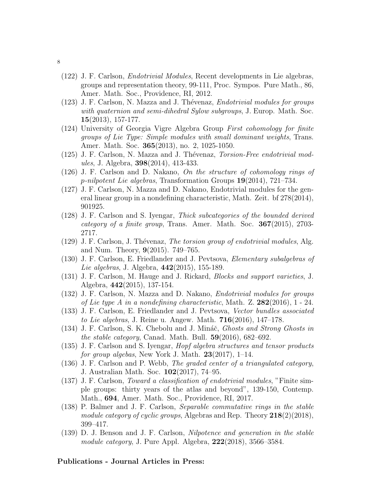- (122) J. F. Carlson, Endotrivial Modules, Recent developments in Lie algebras, groups and representation theory, 99-111, Proc. Sympos. Pure Math., 86, Amer. Math. Soc., Providence, RI, 2012.
- (123) J. F. Carlson, N. Mazza and J. Thévenaz, Endotrivial modules for groups with quaternion and semi-dihedral Sylow subgroups, J. Europ. Math. Soc. 15(2013), 157-177.
- (124) University of Georgia Vigre Algebra Group First cohomology for finite groups of Lie Type: Simple modules with small dominant weights, Trans. Amer. Math. Soc. 365(2013), no. 2, 1025-1050.
- (125) J. F. Carlson, N. Mazza and J. Thévenaz, *Torsion-Free endotrivial mod*ules, J. Algebra, 398(2014), 413-433.
- (126) J. F. Carlson and D. Nakano, On the structure of cohomology rings of p-nilpotent Lie algebras, Transformation Groups 19(2014), 721–734.
- (127) J. F. Carlson, N. Mazza and D. Nakano, Endotrivial modules for the general linear group in a nondefining characteristic, Math. Zeit. bf 278(2014), 901925.
- (128) J. F. Carlson and S. Iyengar, Thick subcategories of the bounded derived category of a finite group, Trans. Amer. Math. Soc. 367(2015), 2703- 2717.
- $(129)$  J. F. Carlson, J. Thévenaz, The torsion group of endotrivial modules, Alg. and Num. Theory, 9(2015). 749–765.
- (130) J. F. Carlson, E. Friedlander and J. Pevtsova, Elementary subalgebras of Lie algebras, J. Algebra, 442(2015), 155-189.
- (131) J. F. Carlson, M. Hauge and J. Rickard, Blocks and support varieties, J. Algebra, 442(2015), 137-154.
- (132) J. F. Carlson, N. Mazza and D. Nakano, Endotrivial modules for groups of Lie type A in a nondefining characteristic, Math. Z.  $282(2016)$ , 1 - 24.
- (133) J. F. Carlson, E. Friedlander and J. Pevtsova, Vector bundles associated *to Lie algebras*, J. Reine u. Angew. Math.  $716(2016)$ ,  $147-178$ .
- (134) J. F. Carlson, S. K. Chebolu and J. Mináč, *Ghosts and Strong Ghosts in* the stable category, Canad. Math. Bull.  $59(2016)$ ,  $682-692$ .
- (135) J. F. Carlson and S. Iyengar, Hopf algebra structures and tensor products for group algebas, New York J. Math.  $23(2017)$ , 1–14.
- (136) J. F. Carlson and P. Webb, The graded center of a triangulated category, J. Australian Math. Soc. 102(2017), 74–95.
- (137) J. F. Carlson, Toward a classification of endotrivial modules, "Finite simple groups: thirty years of the atlas and beyond", 139-150, Contemp. Math., 694, Amer. Math. Soc., Providence, RI, 2017.
- (138) P. Balmer and J. F. Carlson, Separable commutative rings in the stable module category of cyclic groups, Algebras and Rep. Theory  $218(2)(2018)$ , 399–417.
- (139) D. J. Benson and J. F. Carlson, Nilpotence and generation in the stable module category, J. Pure Appl. Algebra,  $222(2018)$ ,  $3566-3584$ .

### Publications - Journal Articles in Press: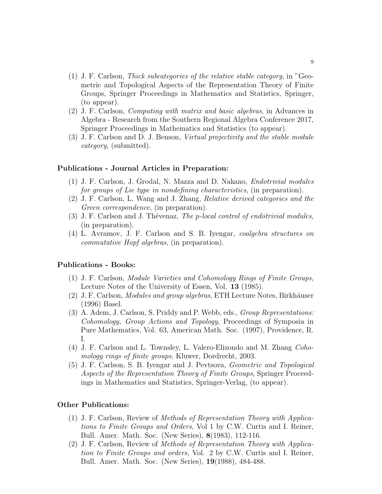- (1) J. F. Carlson, Thick subcategories of the relative stable category, in "Geometric and Topological Aspects of the Representation Theory of Finite Groups, Springer Proceedings in Mathematics and Statistics, Springer, (to appear).
- (2) J. F. Carlson, Computing with matrix and basic algebras, in Advances in Algebra - Research from the Southern Regional Algebra Conference 2017, Springer Proceedings in Mathematics and Statistics (to appear).
- (3) J. F. Carlson and D. J. Benson, Virtual projectivity and the stable module category, (submitted).

### Publications - Journal Articles in Preparation:

- (1) J. F. Carlson, J. Grodal, N. Mazza and D. Nakano, Endotrivial modules for groups of Lie type in nondefining characteristics, (in preparation).
- (2) J. F. Carlson, L. Wang and J. Zhang, Relative derived categories and the Green *correspondence*, (in preparation).
- (3) J. F. Carlson and J. Thévenaz, The p-local control of endotrivial modules, (in preparation).
- (4) L. Avramov, J. F. Carlson and S. B. Iyengar, coalgebra structures on commutative Hopf algebras, (in preparation).

#### Publications - Books:

- (1) J. F. Carlson, Module Varieties and Cohomology Rings of Finite Groups, Lecture Notes of the University of Essen, Vol. 13 (1985).
- $(2)$  J. F. Carlson, *Modules and group algebras*, ETH Lecture Notes, Birkhäuser (1996) Basel.
- (3) A. Adem, J. Carlson, S. Priddy and P. Webb, eds., Group Representations: Cohomology, Group Actions and Topology, Proceedings of Symposia in Pure Mathematics, Vol. 63, American Math. Soc. (1997), Providence, R. I.
- (4) J. F. Carlson and L. Townsley, L. Valero-Elizondo and M. Zhang Cohomology rings of finite groups, Kluwer, Dordrecht, 2003.
- (5) J. F. Carlson, S. B. Iyengar and J. Pevtsova, Geometric and Topological Aspects of the Representation Theory of Finite Groups, Springer Proceedings in Mathematics and Statistics, Springer-Verlag, (to appear).

# Other Publications:

- (1) J. F. Carlson, Review of Methods of Representation Theory with Applications to Finite Groups and Orders, Vol 1 by C.W. Curtis and I. Reiner, Bull. Amer. Math. Soc. (New Series), 8(1983), 112-116.
- (2) J. F. Carlson, Review of Methods of Representation Theory with Application to Finite Groups and orders, Vol. 2 by C.W. Curtis and I. Reiner, Bull. Amer. Math. Soc. (New Series), 19(1988), 484-488.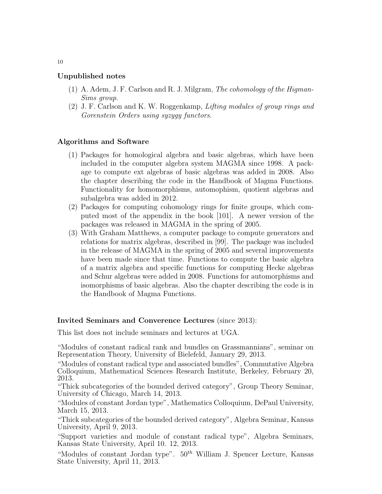# Unpublished notes

- (1) A. Adem, J. F. Carlson and R. J. Milgram, The cohomology of the Higman-Sims group.
- (2) J. F. Carlson and K. W. Roggenkamp, Lifting modules of group rings and Gorenstein Orders using syzygy functors.

### Algorithms and Software

- (1) Packages for homological algebra and basic algebras, which have been included in the computer algebra system MAGMA since 1998. A package to compute ext algebras of basic algebras was added in 2008. Also the chapter describing the code in the Handbook of Magma Functions. Functionality for homomorphisms, automophism, quotient algebras and subalgebra was added in 2012.
- (2) Packages for computing cohomology rings for finite groups, which computed most of the appendix in the book [101]. A newer version of the packages was released in MAGMA in the spring of 2005.
- (3) With Graham Matthews, a computer package to compute generators and relations for matrix algebras, described in [99]. The package was included in the release of MAGMA in the spring of 2005 and several improvements have been made since that time. Functions to compute the basic algebra of a matrix algebra and specific functions for computing Hecke algebras and Schur algebras were added in 2008. Functions for automorphisms and isomorphisms of basic algebras. Also the chapter describing the code is in the Handbook of Magma Functions.

### Invited Seminars and Converence Lectures (since 2013):

This list does not include seminars and lectures at UGA.

"Modules of constant radical rank and bundles on Grassmannians", seminar on Representation Theory, University of Bielefeld, January 29, 2013.

"Modules of constant radical type and associated bundles", Commutative Algebra Colloquium, Mathematical Sciences Research Institute, Berkeley, February 20, 2013.

"Thick subcategories of the bounded derived category", Group Theory Seminar, University of Chicago, March 14, 2013.

"Modules of constant Jordan type", Mathematics Colloquium, DePaul University, March 15, 2013.

"Thick subcategories of the bounded derived category", Algebra Seminar, Kansas University, April 9, 2013.

"Support varieties and module of constant radical type", Algebra Seminars, Kansas State University, April 10. 12, 2013.

"Modules of constant Jordan type".  $50<sup>th</sup>$  William J. Spencer Lecture, Kansas State University, April 11, 2013.

10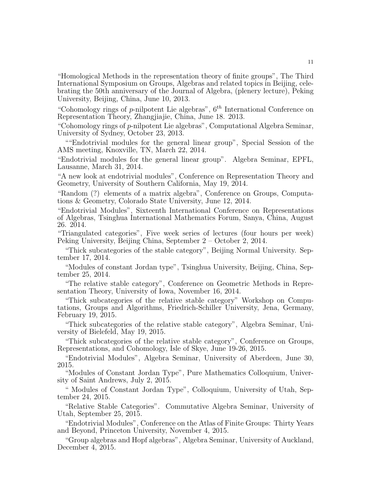"Homological Methods in the representation theory of finite groups", The Third International Symposium on Groups, Algebras and related topics in Beijing, celebrating the 50th anniversary of the Journal of Algebra, (plenery lecture), Peking University, Beijing, China, June 10, 2013.

"Cohomology rings of p-nilpotent Lie algebras",  $6<sup>th</sup>$  International Conference on Representation Theory, Zhangjiajie, China, June 18. 2013.

"Cohomology rings of p-nilpotent Lie algebras", Computational Algebra Seminar, University of Sydney, October 23, 2013.

""Endotrivial modules for the general linear group", Special Session of the AMS meeting, Knoxville, TN, March 22, 2014.

"Endotrivial modules for the general linear group". Algebra Seminar, EPFL, Lausanne, March 31, 2014.

"A new look at endotrivial modules", Conference on Representation Theory and Geometry, University of Southern California, May 19, 2014.

"Random (?) elements of a matrix algebra", Conference on Groups, Computations & Geometry, Colorado State University, June 12, 2014.

"Endotrivial Modules", Sixteenth International Conference on Representations of Algebras, Tsinghua International Mathematics Forum, Sanya, China, August 26. 2014.

"Triangulated categories", Five week series of lectures (four hours per week) Peking University, Beijing China, September 2 – October 2, 2014.

"Thick subcategories of the stable category", Beijing Normal University. September 17, 2014.

"Modules of constant Jordan type", Tsinghua University, Beijing, China, September 25, 2014.

"The relative stable category", Conference on Geometric Methods in Representation Theory, University of Iowa, November 16, 2014.

"Thick subcategories of the relative stable category" Workshop on Computations, Groups and Algorithms, Friedrich-Schiller University, Jena, Germany, February 19, 2015.

"Thick subcategories of the relative stable category", Algebra Seminar, University of Bielefeld, May 19, 2015.

"Thick subcategories of the relative stable category", Conference on Groups, Representations, and Cohomology, Isle of Skye, June 19-26, 2015.

"Endotrivial Modules", Algebra Seminar, University of Aberdeen, June 30, 2015.

"Modules of Constant Jordan Type", Pure Mathematics Colloquium, University of Saint Andrews, July 2, 2015.

" Modules of Constant Jordan Type", Colloquium, University of Utah, September 24, 2015.

"Relative Stable Categories". Commutative Algebra Seminar, University of Utah, September 25, 2015.

"Endotrivial Modules", Conference on the Atlas of Finite Groups: Thirty Years and Beyond, Princeton University, November 4, 2015.

"Group algebras and Hopf algebras", Algebra Seminar, University of Auckland, December 4, 2015.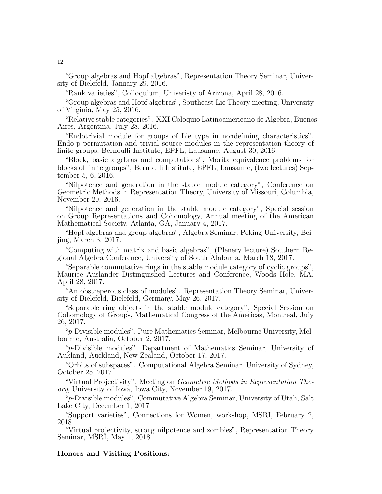"Group algebras and Hopf algebras", Representation Theory Seminar, University of Bielefeld, January 29, 2016.

"Rank varieties", Colloquium, Univeristy of Arizona, April 28, 2016.

"Group algebras and Hopf algebras", Southeast Lie Theory meeting, University of Virginia, May 25, 2016.

"Relative stable categories". XXI Coloquio Latinoamericano de Algebra, Buenos Aires, Argentina, July 28, 2016.

"Endotrivial module for groups of Lie type in nondefining characteristics". Endo-p-permutation and trivial source modules in the representation theory of finite groups, Bernoulli Institute, EPFL, Lausanne, August 30, 2016.

"Block, basic algebras and computations", Morita equivalence problems for blocks of finite groups", Bernoulli Institute, EPFL, Lausanne, (two lectures) September 5, 6, 2016.

"Nilpotence and generation in the stable module category", Conference on Geometric Methods in Representation Theory, University of Missouri, Columbia, November 20, 2016.

"Nilpotence and generation in the stable module category", Special session on Group Representations and Cohomology, Annual meeting of the American Mathematical Society, Atlanta, GA, January 4, 2017.

"Hopf algebras and group algebras", Algebra Seminar, Peking University, Beijing, March 3, 2017.

"Computing with matrix and basic algebras", (Plenery lecture) Southern Regional Algebra Conference, University of South Alabama, March 18, 2017.

"Separable commutative rings in the stable module category of cyclic groups", Maurice Auslander Distinguished Lectures and Conference, Woods Hole, MA. April 28, 2017.

"An obstreperous class of modules". Representation Theory Seminar, University of Bielefeld, Bielefeld, Germany, May 26, 2017.

"Separable ring objects in the stable module category", Special Session on Cohomology of Groups, Mathematical Congress of the Americas, Montreal, July 26, 2017.

"p-Divisible modules", Pure Mathematics Seminar, Melbourne University, Melbourne, Australia, October 2, 2017.

"p-Divisible modules", Department of Mathematics Seminar, University of Aukland, Auckland, New Zealand, October 17, 2017.

"Orbits of subspaces". Computational Algebra Seminar, University of Sydney, October 25, 2017.

"Virtual Projectivity", Meeting on Geometric Methods in Representation Theory, University of Iowa, Iowa City, November 19, 2017.

"p-Divisible modules", Commutative Algebra Seminar, University of Utah, Salt Lake City, December 1, 2017.

"Support varieties", Connections for Women, workshop, MSRI, February 2, 2018.

"Virtual projectivity, strong nilpotence and zombies", Representation Theory Seminar, MSRI, May 1, 2018

### Honors and Visiting Positions: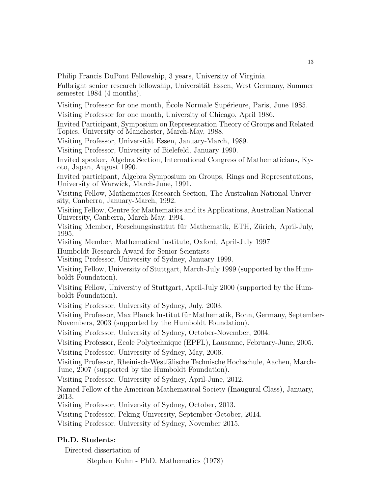Philip Francis DuPont Fellowship, 3 years, University of Virginia.

Fulbright senior research fellowship, Universität Essen, West Germany, Summer semester 1984 (4 months).

Visiting Professor for one month, Ecole Normale Supérieure, Paris, June 1985.

Visiting Professor for one month, University of Chicago, April 1986.

Invited Participant, Symposium on Representation Theory of Groups and Related Topics, University of Manchester, March-May, 1988.

Visiting Professor, Universität Essen, January-March, 1989.

Visiting Professor, University of Bielefeld, January 1990.

Invited speaker, Algebra Section, International Congress of Mathematicians, Kyoto, Japan, August 1990.

Invited participant, Algebra Symposium on Groups, Rings and Representations, University of Warwick, March-June, 1991.

Visiting Fellow, Mathematics Research Section, The Australian National University, Canberra, January-March, 1992.

Visiting Fellow, Centre for Mathematics and its Applications, Australian National University, Canberra, March-May, 1994.

Visiting Member, Forschungsinstitut für Mathematik, ETH, Zürich, April-July, 1995.

Visiting Member, Mathematical Institute, Oxford, April-July 1997

Humboldt Research Award for Senior Scientists

Visiting Professor, University of Sydney, January 1999.

Visiting Fellow, University of Stuttgart, March-July 1999 (supported by the Humboldt Foundation).

Visiting Fellow, University of Stuttgart, April-July 2000 (supported by the Humboldt Foundation).

Visiting Professor, University of Sydney, July, 2003.

Visiting Professor, Max Planck Institut für Mathematik, Bonn, Germany, September-Novembers, 2003 (supported by the Humboldt Foundation).

Visiting Professor, University of Sydney, October-November, 2004.

Visiting Professor, Ecole Polytechnique (EPFL), Lausanne, February-June, 2005.

Visiting Professor, University of Sydney, May, 2006.

Visiting Professor, Rheinisch-Westfälische Technische Hochschule, Aachen, March-June, 2007 (supported by the Humboldt Foundation).

Visiting Professor, University of Sydney, April-June, 2012.

Named Fellow of the American Mathematical Society (Inaugural Class), January, 2013.

Visiting Professor, University of Sydney, October, 2013.

Visiting Professor, Peking University, September-October, 2014.

Visiting Professor, University of Sydney, November 2015.

# Ph.D. Students:

Directed dissertation of

Stephen Kuhn - PhD. Mathematics (1978)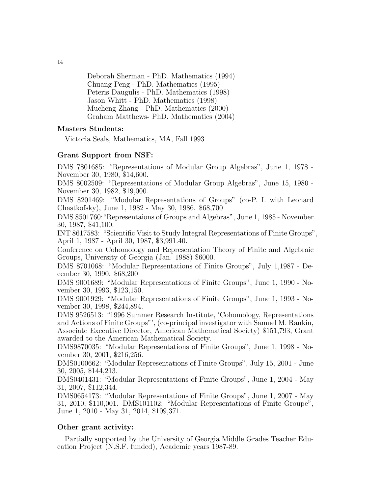Deborah Sherman - PhD. Mathematics (1994) Chuang Peng - PhD. Mathematics (1995) Peteris Daugulis - PhD. Mathematics (1998) Jason Whitt - PhD. Mathematics (1998) Mucheng Zhang - PhD. Mathematics (2000) Graham Matthews- PhD. Mathematics (2004)

### Masters Students:

Victoria Seals, Mathematics, MA, Fall 1993

# Grant Support from NSF:

DMS 7801685: "Representations of Modular Group Algebras", June 1, 1978 - November 30, 1980, \$14,600.

DMS 8002509: "Representations of Modular Group Algebras", June 15, 1980 - November 30, 1982, \$19,000.

DMS 8201469: "Modular Representations of Groups" (co-P. I. with Leonard Chastkofsky), June 1, 1982 - May 30, 1986. \$68,700

DMS 8501760:"Representaions of Groups and Algebras", June 1, 1985 - November 30, 1987, \$41,100.

INT 8617583: "Scientific Visit to Study Integral Representations of Finite Groups", April 1, 1987 - April 30, 1987, \$3,991.40.

Conference on Cohomology and Representation Theory of Finite and Algebraic Groups, University of Georgia (Jan. 1988) \$6000.

DMS 8701068: "Modular Representations of Finite Groups", July 1,1987 - December 30, 1990. \$68,200

DMS 9001689: "Modular Representations of Finite Groups", June 1, 1990 - November 30, 1993, \$123,150.

DMS 9001929: "Modular Representations of Finite Groups", June 1, 1993 - November 30, 1998, \$244,894.

DMS 9526513: "1996 Summer Research Institute, 'Cohomology, Representations and Actions of Finite Groups"', (co-principal investigator with Samuel M. Rankin, Associate Executive Director, American Mathematical Society) \$151,793, Grant awarded to the American Mathematical Society.

DMS9870035: "Modular Representations of Finite Groups", June 1, 1998 - November 30, 2001, \$216,256.

DMS0100662: "Modular Representations of Finite Groups", July 15, 2001 - June 30, 2005, \$144,213.

DMS0401431: "Modular Representations of Finite Groups", June 1, 2004 - May 31, 2007, \$112,344.

DMS0654173: "Modular Representations of Finite Groups", June 1, 2007 - May 31, 2010, \$110,001. DMS101102: "Modular Representations of Finite Groupe", June 1, 2010 - May 31, 2014, \$109,371.

### Other grant activity:

Partially supported by the University of Georgia Middle Grades Teacher Education Project (N.S.F. funded), Academic years 1987-89.

14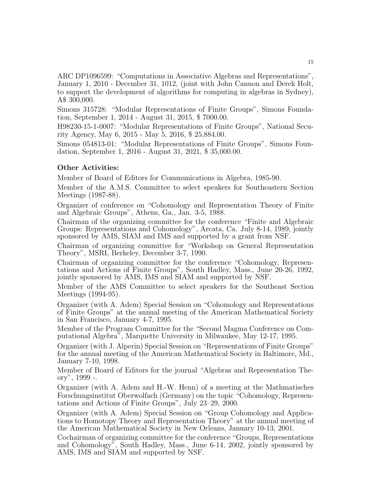ARC DP1096599: "Computations in Associative Algebras and Representations", January 1, 2010 - December 31, 1012, (joint with John Cannon and Derek Holt, to support the development of algorithms for computing in algebras in Sydney), A\$ 300,000.

Simons 315728: "Modular Representations of Finite Groups", Simons Foundation, September 1, 2014 - August 31, 2015, \$ 7000.00.

H98230-15-1-0007: "Modular Representations of Finite Groups", National Security Agency, May 6, 2015 - May 5, 2016, \$ 25,884.00.

Simons 054813-01: "Modular Representations of Finite Groups", Simons Foundation, September 1, 2016 - August 31, 2021, \$ 35,000.00.

### Other Activities:

Member of Board of Editors for Communications in Algebra, 1985-90.

Member of the A.M.S. Committee to select speakers for Southeastern Section Meetings (1987-88).

Organizer of conference on "Cohomology and Representation Theory of Finite and Algebraic Groups", Athens, Ga., Jan. 3-5, 1988.

Chairman of the organizing committee for the conference "Finite and Algebraic Groups: Representations and Cohomology", Arcata, Ca. July 8-14, 1989, jointly sponsored by AMS, SIAM and IMS and supported by a grant from NSF.

Chairman of organizing committee for "Workshop on General Representation Theory", MSRI, Berkeley, December 3-7, 1990.

Chairman of organizing committee for the conference "Cohomology, Representations and Actions of Finite Groups", South Hadley, Mass., June 20-26, 1992, jointly sponsored by AMS, IMS and SIAM and supported by NSF.

Member of the AMS Committee to select speakers for the Southeast Section Meetings (1994-95).

Organizer (with A. Adem) Special Session on "Cohomology and Representations of Finite Groups" at the annual meeting of the American Mathematical Society in San Francisco, January 4-7, 1995.

Member of the Program Committee for the "Second Magma Conference on Computational Algebra", Marquette University in Milwaukee, May 12-17, 1995.

Organizer (with J. Alperin) Special Session on "Representations of Finite Groups" for the annual meeting of the American Mathematical Society in Baltimore, Md., January 7-10, 1998.

Member of Board of Editors for the journal "Algebras and Representation Theory", 1999 -.

Organizer (with A. Adem and H.-W. Henn) of a meeting at the Mathmatisches Forschungsinstitut Oberwolfach (Germany) on the topic "Cohomology, Representations and Actions of Finite Groups", July 23–29, 2000.

Organizer (with A. Adem) Special Session on "Group Cohomology and Applications to Homotopy Theory and Representation Theory" at the annual meeting of the American Mathematical Society in New Orleans, January 10-13, 2001.

Cochairman of organizing committee for the conference "Groups, Representations and Cohomology", South Hadley, Mass., June 6-14, 2002, jointly sponsored by AMS, IMS and SIAM and supported by NSF.